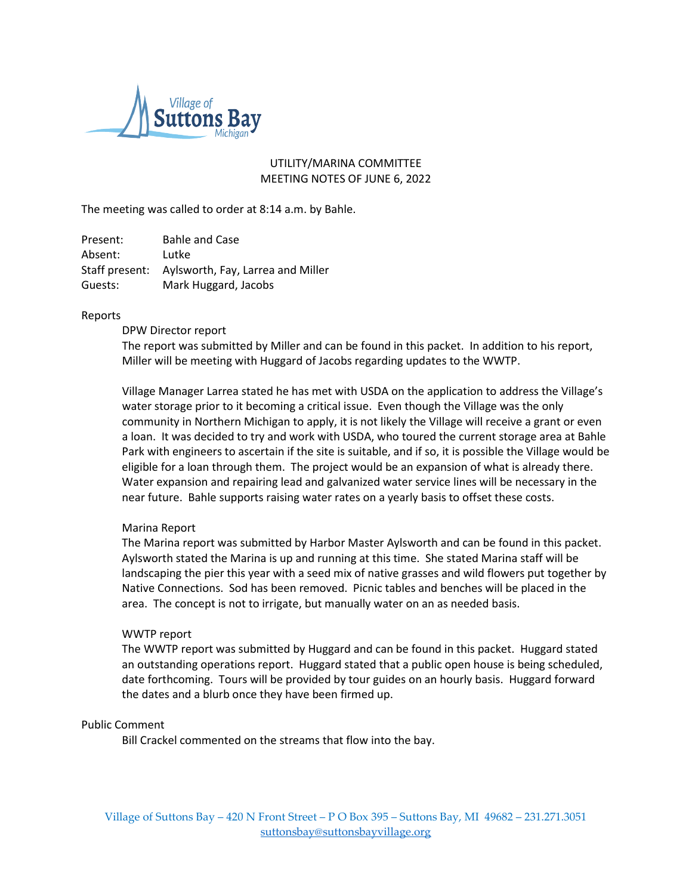

# UTILITY/MARINA COMMITTEE MEETING NOTES OF JUNE 6, 2022

The meeting was called to order at 8:14 a.m. by Bahle.

| Present: | <b>Bahle and Case</b>                            |
|----------|--------------------------------------------------|
| Absent:  | Lutke                                            |
|          | Staff present: Aylsworth, Fay, Larrea and Miller |
| Guests:  | Mark Huggard, Jacobs                             |

## Reports

DPW Director report

The report was submitted by Miller and can be found in this packet. In addition to his report, Miller will be meeting with Huggard of Jacobs regarding updates to the WWTP.

Village Manager Larrea stated he has met with USDA on the application to address the Village's water storage prior to it becoming a critical issue. Even though the Village was the only community in Northern Michigan to apply, it is not likely the Village will receive a grant or even a loan. It was decided to try and work with USDA, who toured the current storage area at Bahle Park with engineers to ascertain if the site is suitable, and if so, it is possible the Village would be eligible for a loan through them. The project would be an expansion of what is already there. Water expansion and repairing lead and galvanized water service lines will be necessary in the near future. Bahle supports raising water rates on a yearly basis to offset these costs.

## Marina Report

The Marina report was submitted by Harbor Master Aylsworth and can be found in this packet. Aylsworth stated the Marina is up and running at this time. She stated Marina staff will be landscaping the pier this year with a seed mix of native grasses and wild flowers put together by Native Connections. Sod has been removed. Picnic tables and benches will be placed in the area. The concept is not to irrigate, but manually water on an as needed basis.

## WWTP report

The WWTP report was submitted by Huggard and can be found in this packet. Huggard stated an outstanding operations report. Huggard stated that a public open house is being scheduled, date forthcoming. Tours will be provided by tour guides on an hourly basis. Huggard forward the dates and a blurb once they have been firmed up.

## Public Comment

Bill Crackel commented on the streams that flow into the bay.